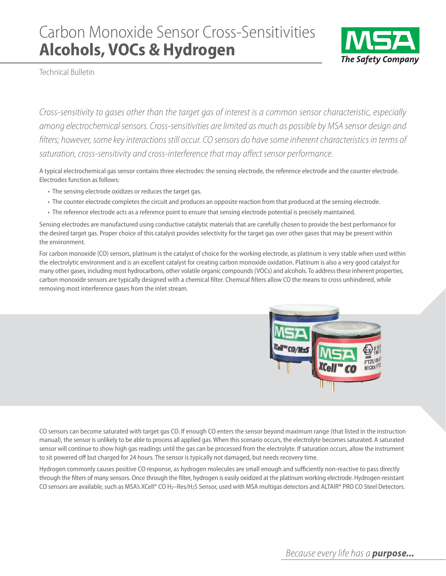## Carbon Monoxide Sensor Cross-Sensitivities **Alcohols, VOCs & Hydrogen**



Technical Bulletin

Cross-sensitivity to gases other than the target gas of interest is a common sensor characteristic, especially among electrochemical sensors. Cross-sensitivities are limited as much as possible by MSA sensor design and filters; however, some key interactions still occur. CO sensors do have some inherent characteristics in terms of saturation, cross-sensitivity and cross-interference that may affect sensor performance.

A typical electrochemical gas sensor contains three electrodes: the sensing electrode, the reference electrode and the counter electrode. Electrodes function as follows:

- The sensing electrode oxidizes or reduces the target gas.
- The counter electrode completes the circuit and produces an opposite reaction from that produced at the sensing electrode.
- The reference electrode acts as a reference point to ensure that sensing electrode potential is precisely maintained.

Sensing electrodes are manufactured using conductive catalytic materials that are carefully chosen to provide the best performance for the desired target gas. Proper choice of this catalyst provides selectivity for the target gas over other gases that may be present within the environment.

For carbon monoxide (CO) sensors, platinum is the catalyst of choice for the working electrode, as platinum is very stable when used within the electrolytic environment and is an excellent catalyst for creating carbon monoxide oxidation. Platinum is also a very good catalyst for many other gases, including most hydrocarbons, other volatile organic compounds (VOCs) and alcohols. To address these inherent properties, carbon monoxide sensors are typically designed with a chemical filter. Chemical filters allow CO the means to cross unhindered, while removing most interference gases from the inlet stream.



CO sensors can become saturated with target gas CO. If enough CO enters the sensor beyond maximum range (that listed in the instruction manual), the sensor is unlikely to be able to process all applied gas. When this scenario occurs, the electrolyte becomes saturated. A saturated sensor will continue to show high gas readings until the gas can be processed from the electrolyte. If saturation occurs, allow the instrument to sit powered off but charged for 24 hours. The sensor is typically not damaged, but needs recovery time.

Hydrogen commonly causes positive CO response, as hydrogen molecules are small enough and sufficiently non-reactive to pass directly through the filters of many sensors. Once through the filter, hydrogen is easily oxidized at the platinum working electrode. Hydrogen-resistant CO sensors are available, such as MSA's XCell® CO H<sub>2</sub>–Res/H<sub>2</sub>S Sensor, used with MSA multigas detectors and ALTAIR® PRO CO Steel Detectors.